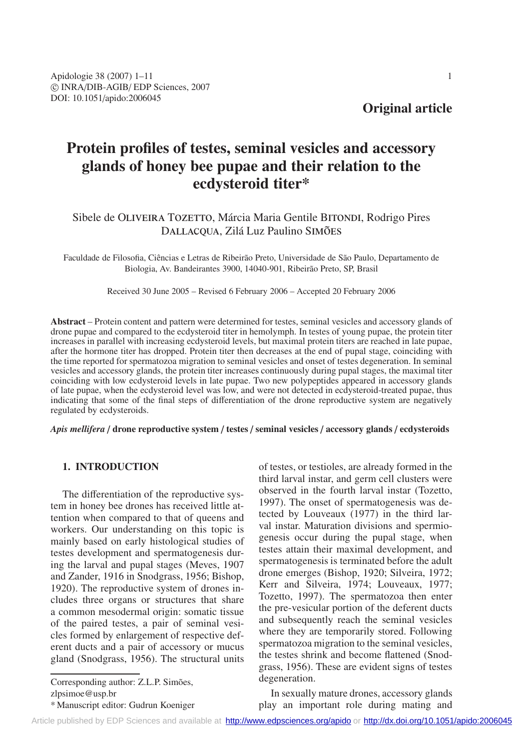# **Original article**

# **Protein profiles of testes, seminal vesicles and accessory glands of honey bee pupae and their relation to the ecdysteroid titer\***

# Sibele de OLIVEIRA TOZETTO, Márcia Maria Gentile BITONDI, Rodrigo Pires DALLACQUA, Zilá Luz Paulino SIMÕES

Faculdade de Filosofia, Ciências e Letras de Ribeirão Preto, Universidade de São Paulo, Departamento de Biologia, Av. Bandeirantes 3900, 14040-901, Ribeirão Preto, SP, Brasil

Received 30 June 2005 – Revised 6 February 2006 – Accepted 20 February 2006

**Abstract** – Protein content and pattern were determined for testes, seminal vesicles and accessory glands of drone pupae and compared to the ecdysteroid titer in hemolymph. In testes of young pupae, the protein titer increases in parallel with increasing ecdysteroid levels, but maximal protein titers are reached in late pupae, after the hormone titer has dropped. Protein titer then decreases at the end of pupal stage, coinciding with the time reported for spermatozoa migration to seminal vesicles and onset of testes degeneration. In seminal vesicles and accessory glands, the protein titer increases continuously during pupal stages, the maximal titer coinciding with low ecdysteroid levels in late pupae. Two new polypeptides appeared in accessory glands of late pupae, when the ecdysteroid level was low, and were not detected in ecdysteroid-treated pupae, thus indicating that some of the final steps of differentiation of the drone reproductive system are negatively regulated by ecdysteroids.

*Apis mellifera* / **drone reproductive system** / **testes** / **seminal vesicles** / **accessory glands** / **ecdysteroids**

# **1. INTRODUCTION**

The differentiation of the reproductive system in honey bee drones has received little attention when compared to that of queens and workers. Our understanding on this topic is mainly based on early histological studies of testes development and spermatogenesis during the larval and pupal stages (Meves, 1907 and Zander, 1916 in Snodgrass, 1956; Bishop, 1920). The reproductive system of drones includes three organs or structures that share a common mesodermal origin: somatic tissue of the paired testes, a pair of seminal vesicles formed by enlargement of respective deferent ducts and a pair of accessory or mucus gland (Snodgrass, 1956). The structural units

Corresponding author: Z.L.P. Simões, zlpsimoe@usp.br

\* Manuscript editor: Gudrun Koeniger

of testes, or testioles, are already formed in the third larval instar, and germ cell clusters were observed in the fourth larval instar (Tozetto, 1997). The onset of spermatogenesis was detected by Louveaux (1977) in the third larval instar. Maturation divisions and spermiogenesis occur during the pupal stage, when testes attain their maximal development, and spermatogenesis is terminated before the adult drone emerges (Bishop, 1920; Silveira, 1972; Kerr and Silveira, 1974; Louveaux, 1977; Tozetto, 1997). The spermatozoa then enter the pre-vesicular portion of the deferent ducts and subsequently reach the seminal vesicles where they are temporarily stored. Following spermatozoa migration to the seminal vesicles, the testes shrink and become flattened (Snodgrass, 1956). These are evident signs of testes degeneration.

In sexually mature drones, accessory glands play an important role during mating and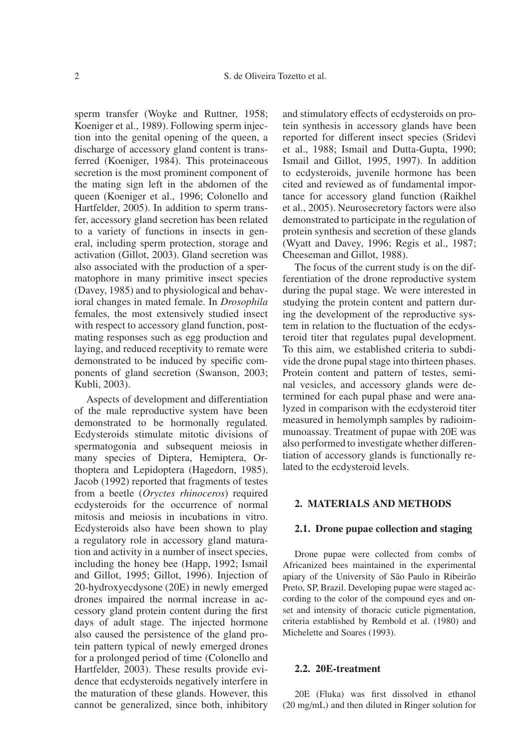sperm transfer (Woyke and Ruttner, 1958; Koeniger et al., 1989). Following sperm injection into the genital opening of the queen, a discharge of accessory gland content is transferred (Koeniger, 1984). This proteinaceous secretion is the most prominent component of the mating sign left in the abdomen of the queen (Koeniger et al., 1996; Colonello and Hartfelder, 2005). In addition to sperm transfer, accessory gland secretion has been related to a variety of functions in insects in general, including sperm protection, storage and activation (Gillot, 2003). Gland secretion was also associated with the production of a spermatophore in many primitive insect species (Davey, 1985) and to physiological and behavioral changes in mated female. In *Drosophila* females, the most extensively studied insect with respect to accessory gland function, postmating responses such as egg production and laying, and reduced receptivity to remate were demonstrated to be induced by specific components of gland secretion (Swanson, 2003; Kubli, 2003).

Aspects of development and differentiation of the male reproductive system have been demonstrated to be hormonally regulated. Ecdysteroids stimulate mitotic divisions of spermatogonia and subsequent meiosis in many species of Diptera, Hemiptera, Orthoptera and Lepidoptera (Hagedorn, 1985). Jacob (1992) reported that fragments of testes from a beetle (*Oryctes rhinoceros*) required ecdysteroids for the occurrence of normal mitosis and meiosis in incubations in vitro. Ecdysteroids also have been shown to play a regulatory role in accessory gland maturation and activity in a number of insect species, including the honey bee (Happ, 1992; Ismail and Gillot, 1995; Gillot, 1996). Injection of 20-hydroxyecdysone (20E) in newly emerged drones impaired the normal increase in accessory gland protein content during the first days of adult stage. The injected hormone also caused the persistence of the gland protein pattern typical of newly emerged drones for a prolonged period of time (Colonello and Hartfelder, 2003). These results provide evidence that ecdysteroids negatively interfere in the maturation of these glands. However, this cannot be generalized, since both, inhibitory and stimulatory effects of ecdysteroids on protein synthesis in accessory glands have been reported for different insect species (Sridevi et al., 1988; Ismail and Dutta-Gupta, 1990; Ismail and Gillot, 1995, 1997). In addition to ecdysteroids, juvenile hormone has been cited and reviewed as of fundamental importance for accessory gland function (Raikhel et al., 2005). Neurosecretory factors were also demonstrated to participate in the regulation of protein synthesis and secretion of these glands (Wyatt and Davey, 1996; Regis et al., 1987; Cheeseman and Gillot, 1988).

The focus of the current study is on the differentiation of the drone reproductive system during the pupal stage. We were interested in studying the protein content and pattern during the development of the reproductive system in relation to the fluctuation of the ecdysteroid titer that regulates pupal development. To this aim, we established criteria to subdivide the drone pupal stage into thirteen phases. Protein content and pattern of testes, seminal vesicles, and accessory glands were determined for each pupal phase and were analyzed in comparison with the ecdysteroid titer measured in hemolymph samples by radioimmunoassay. Treatment of pupae with 20E was also performed to investigate whether differentiation of accessory glands is functionally related to the ecdysteroid levels.

# **2. MATERIALS AND METHODS**

#### **2.1. Drone pupae collection and staging**

Drone pupae were collected from combs of Africanized bees maintained in the experimental apiary of the University of São Paulo in Ribeirão Preto, SP, Brazil. Developing pupae were staged according to the color of the compound eyes and onset and intensity of thoracic cuticle pigmentation, criteria established by Rembold et al. (1980) and Michelette and Soares (1993).

## **2.2. 20E-treatment**

20E (Fluka) was first dissolved in ethanol (20 mg/mL) and then diluted in Ringer solution for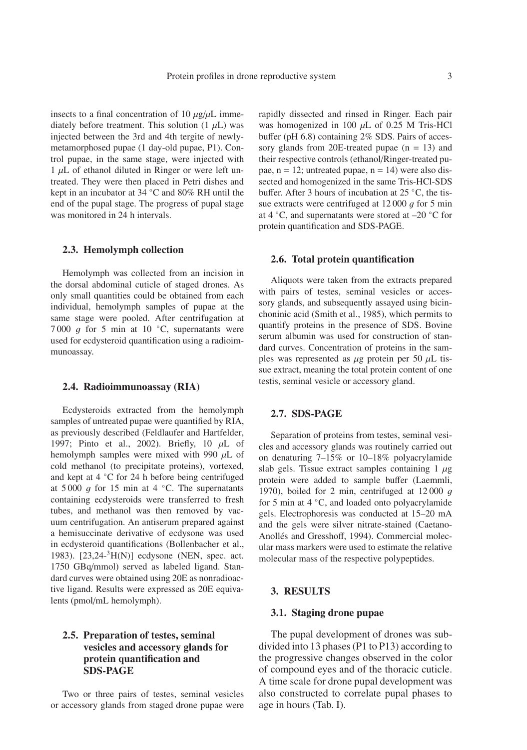insects to a final concentration of 10  $\mu$ g/ $\mu$ L immediately before treatment. This solution  $(1 \mu L)$  was injected between the 3rd and 4th tergite of newlymetamorphosed pupae (1 day-old pupae, P1). Control pupae, in the same stage, were injected with  $1 \mu L$  of ethanol diluted in Ringer or were left untreated. They were then placed in Petri dishes and kept in an incubator at 34 ◦C and 80% RH until the end of the pupal stage. The progress of pupal stage was monitored in 24 h intervals.

#### **2.3. Hemolymph collection**

Hemolymph was collected from an incision in the dorsal abdominal cuticle of staged drones. As only small quantities could be obtained from each individual, hemolymph samples of pupae at the same stage were pooled. After centrifugation at 7000 q for 5 min at 10  $°C$ , supernatants were used for ecdysteroid quantification using a radioimmunoassay.

#### **2.4. Radioimmunoassay (RIA)**

Ecdysteroids extracted from the hemolymph samples of untreated pupae were quantified by RIA, as previously described (Feldlaufer and Hartfelder, 1997; Pinto et al., 2002). Briefly, 10  $\mu$ L of hemolymph samples were mixed with 990  $\mu$ L of cold methanol (to precipitate proteins), vortexed, and kept at 4 ◦C for 24 h before being centrifuged at 5 000  $q$  for 15 min at 4  $°C$ . The supernatants containing ecdysteroids were transferred to fresh tubes, and methanol was then removed by vacuum centrifugation. An antiserum prepared against a hemisuccinate derivative of ecdysone was used in ecdysteroid quantifications (Bollenbacher et al., 1983). [23,24-3H(N)] ecdysone (NEN, spec. act. 1750 GBq/mmol) served as labeled ligand. Standard curves were obtained using 20E as nonradioactive ligand. Results were expressed as 20E equivalents (pmol/mL hemolymph).

# **2.5. Preparation of testes, seminal vesicles and accessory glands for protein quantification and SDS-PAGE**

Two or three pairs of testes, seminal vesicles or accessory glands from staged drone pupae were rapidly dissected and rinsed in Ringer. Each pair was homogenized in 100  $\mu$ L of 0.25 M Tris-HCl buffer (pH 6.8) containing 2% SDS. Pairs of accessory glands from 20E-treated pupae  $(n = 13)$  and their respective controls (ethanol/Ringer-treated pupae,  $n = 12$ ; untreated pupae,  $n = 14$ ) were also dissected and homogenized in the same Tris-HCl-SDS buffer. After 3 hours of incubation at 25 ◦C, the tissue extracts were centrifuged at  $12\,000\,g$  for 5 min at 4  $°C$ , and supernatants were stored at –20  $°C$  for protein quantification and SDS-PAGE.

#### **2.6. Total protein quantification**

Aliquots were taken from the extracts prepared with pairs of testes, seminal vesicles or accessory glands, and subsequently assayed using bicinchoninic acid (Smith et al., 1985), which permits to quantify proteins in the presence of SDS. Bovine serum albumin was used for construction of standard curves. Concentration of proteins in the samples was represented as  $\mu$ g protein per 50  $\mu$ L tissue extract, meaning the total protein content of one testis, seminal vesicle or accessory gland.

## **2.7. SDS-PAGE**

Separation of proteins from testes, seminal vesicles and accessory glands was routinely carried out on denaturing 7–15% or 10–18% polyacrylamide slab gels. Tissue extract samples containing 1  $\mu$ g protein were added to sample buffer (Laemmli, 1970), boiled for 2 min, centrifuged at  $12000$  g for 5 min at 4 ◦C, and loaded onto polyacrylamide gels. Electrophoresis was conducted at 15–20 mA and the gels were silver nitrate-stained (Caetano-Anollés and Gresshoff, 1994). Commercial molecular mass markers were used to estimate the relative molecular mass of the respective polypeptides.

# **3. RESULTS**

# **3.1. Staging drone pupae**

The pupal development of drones was subdivided into 13 phases (P1 to P13) according to the progressive changes observed in the color of compound eyes and of the thoracic cuticle. A time scale for drone pupal development was also constructed to correlate pupal phases to age in hours (Tab. I).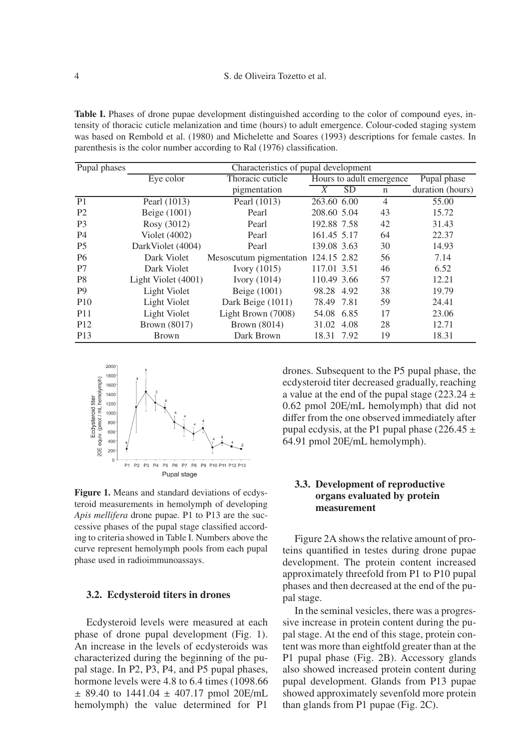**Table I.** Phases of drone pupae development distinguished according to the color of compound eyes, intensity of thoracic cuticle melanization and time (hours) to adult emergence. Colour-coded staging system was based on Rembold et al. (1980) and Michelette and Soares (1993) descriptions for female castes. In parenthesis is the color number according to Ral (1976) classification.

| Pupal phases    | Characteristics of pupal development |                                     |                          |           |                |                  |
|-----------------|--------------------------------------|-------------------------------------|--------------------------|-----------|----------------|------------------|
|                 | Eye color                            | Thoracic cuticle                    | Hours to adult emergence |           | Pupal phase    |                  |
|                 |                                      | pigmentation                        | X                        | <b>SD</b> | $\mathbf n$    | duration (hours) |
| P <sub>1</sub>  | Pearl (1013)                         | Pearl (1013)                        | 263.60 6.00              |           | $\overline{4}$ | 55.00            |
| P <sub>2</sub>  | Beige (1001)                         | Pearl                               | 208.60 5.04              |           | 43             | 15.72            |
| P <sub>3</sub>  | Rosy (3012)                          | Pearl                               | 192.88 7.58              |           | 42             | 31.43            |
| <b>P4</b>       | Violet (4002)                        | Pearl                               | 161.45 5.17              |           | 64             | 22.37            |
| P <sub>5</sub>  | DarkViolet (4004)                    | Pearl                               | 139.08 3.63              |           | 30             | 14.93            |
| <b>P6</b>       | Dark Violet                          | Mesoscutum pigmentation 124.15 2.82 |                          |           | 56             | 7.14             |
| P7              | Dark Violet                          | Ivory $(1015)$                      | 117.01 3.51              |           | 46             | 6.52             |
| P <sub>8</sub>  | Light Violet (4001)                  | Ivory $(1014)$                      | 110.49 3.66              |           | 57             | 12.21            |
| P <sub>9</sub>  | Light Violet                         | Beige (1001)                        | 98.28 4.92               |           | 38             | 19.79            |
| P <sub>10</sub> | Light Violet                         | Dark Beige (1011)                   | 78.49 7.81               |           | 59             | 24.41            |
| P <sub>11</sub> | Light Violet                         | Light Brown (7008)                  | 54.08 6.85               |           | 17             | 23.06            |
| P <sub>12</sub> | Brown (8017)                         | Brown (8014)                        | 31.02 4.08               |           | 28             | 12.71            |
| P <sub>13</sub> | <b>Brown</b>                         | Dark Brown                          | 18.31 7.92               |           | 19             | 18.31            |



**Figure 1.** Means and standard deviations of ecdysteroid measurements in hemolymph of developing *Apis mellifera* drone pupae. P1 to P13 are the successive phases of the pupal stage classified according to criteria showed in Table I. Numbers above the curve represent hemolymph pools from each pupal phase used in radioimmunoassays.

#### **3.2. Ecdysteroid titers in drones**

Ecdysteroid levels were measured at each phase of drone pupal development (Fig. 1). An increase in the levels of ecdysteroids was characterized during the beginning of the pupal stage. In P2, P3, P4, and P5 pupal phases, hormone levels were 4.8 to 6.4 times (1098.66  $\pm$  89.40 to 1441.04  $\pm$  407.17 pmol 20E/mL hemolymph) the value determined for P1

drones. Subsequent to the P5 pupal phase, the ecdysteroid titer decreased gradually, reaching a value at the end of the pupal stage (223.24  $\pm$ 0.62 pmol 20E/mL hemolymph) that did not differ from the one observed immediately after pupal ecdysis, at the P1 pupal phase (226.45  $\pm$ 64.91 pmol 20E/mL hemolymph).

# **3.3. Development of reproductive organs evaluated by protein measurement**

Figure 2A shows the relative amount of proteins quantified in testes during drone pupae development. The protein content increased approximately threefold from P1 to P10 pupal phases and then decreased at the end of the pupal stage.

In the seminal vesicles, there was a progressive increase in protein content during the pupal stage. At the end of this stage, protein content was more than eightfold greater than at the P1 pupal phase (Fig. 2B). Accessory glands also showed increased protein content during pupal development. Glands from P13 pupae showed approximately sevenfold more protein than glands from P1 pupae (Fig. 2C).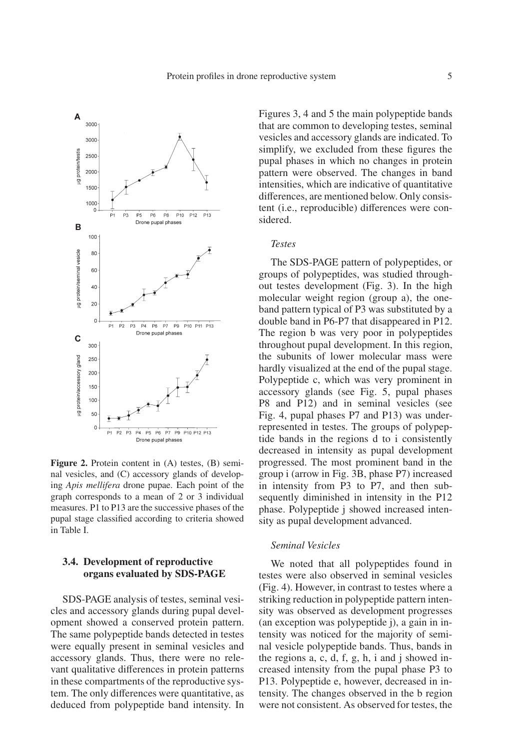

**Figure 2.** Protein content in (A) testes, (B) seminal vesicles, and (C) accessory glands of developing *Apis mellifera* drone pupae. Each point of the graph corresponds to a mean of 2 or 3 individual measures. P1 to P13 are the successive phases of the pupal stage classified according to criteria showed in Table I.

# **3.4. Development of reproductive organs evaluated by SDS-PAGE**

SDS-PAGE analysis of testes, seminal vesicles and accessory glands during pupal development showed a conserved protein pattern. The same polypeptide bands detected in testes were equally present in seminal vesicles and accessory glands. Thus, there were no relevant qualitative differences in protein patterns in these compartments of the reproductive system. The only differences were quantitative, as deduced from polypeptide band intensity. In Figures 3, 4 and 5 the main polypeptide bands that are common to developing testes, seminal vesicles and accessory glands are indicated. To simplify, we excluded from these figures the pupal phases in which no changes in protein pattern were observed. The changes in band intensities, which are indicative of quantitative differences, are mentioned below. Only consistent (i.e., reproducible) differences were considered.

# *Testes*

The SDS-PAGE pattern of polypeptides, or groups of polypeptides, was studied throughout testes development (Fig. 3). In the high molecular weight region (group a), the oneband pattern typical of P3 was substituted by a double band in P6-P7 that disappeared in P12. The region b was very poor in polypeptides throughout pupal development. In this region, the subunits of lower molecular mass were hardly visualized at the end of the pupal stage. Polypeptide c, which was very prominent in accessory glands (see Fig. 5, pupal phases P8 and P12) and in seminal vesicles (see Fig. 4, pupal phases P7 and P13) was underrepresented in testes. The groups of polypeptide bands in the regions d to i consistently decreased in intensity as pupal development progressed. The most prominent band in the group i (arrow in Fig. 3B, phase P7) increased in intensity from P3 to P7, and then subsequently diminished in intensity in the P12 phase. Polypeptide j showed increased intensity as pupal development advanced.

## *Seminal Vesicles*

We noted that all polypeptides found in testes were also observed in seminal vesicles (Fig. 4). However, in contrast to testes where a striking reduction in polypeptide pattern intensity was observed as development progresses (an exception was polypeptide j), a gain in intensity was noticed for the majority of seminal vesicle polypeptide bands. Thus, bands in the regions a, c, d, f, g, h, i and j showed increased intensity from the pupal phase P3 to P13. Polypeptide e, however, decreased in intensity. The changes observed in the b region were not consistent. As observed for testes, the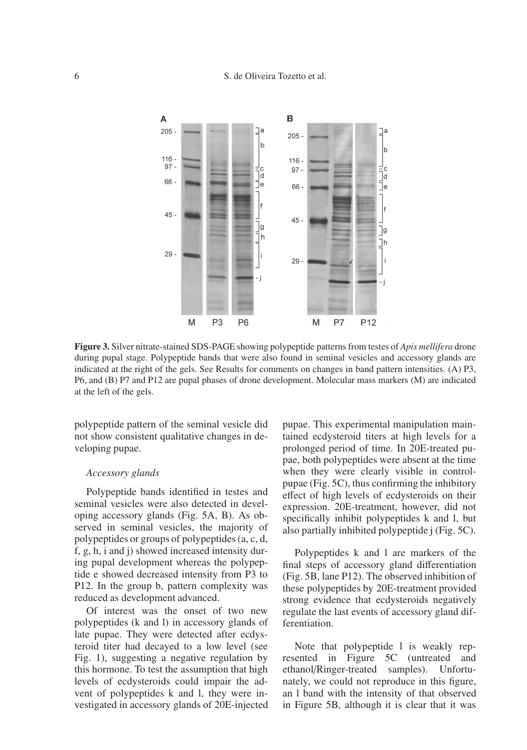## 6 S. de Oliveira Tozetto et al.



**Figure 3.** Silver nitrate-stained SDS-PAGE showing polypeptide patterns from testes of *Apis mellifera* drone during pupal stage. Polypeptide bands that were also found in seminal vesicles and accessory glands are indicated at the right of the gels. See Results for comments on changes in band pattern intensities. (A) P3, P6, and (B) P7 and P12 are pupal phases of drone development. Molecular mass markers (M) are indicated at the left of the gels.

polypeptide pattern of the seminal vesicle did not show consistent qualitative changes in developing pupae.

# *Accessory glands*

Polypeptide bands identified in testes and seminal vesicles were also detected in developing accessory glands (Fig. 5A, B). As observed in seminal vesicles, the majority of polypeptides or groups of polypeptides (a, c, d, f, g, h, i and j) showed increased intensity during pupal development whereas the polypeptide e showed decreased intensity from P3 to P12. In the group b, pattern complexity was reduced as development advanced.

Of interest was the onset of two new polypeptides (k and l) in accessory glands of late pupae. They were detected after ecdysteroid titer had decayed to a low level (see Fig. 1), suggesting a negative regulation by this hormone. To test the assumption that high levels of ecdysteroids could impair the advent of polypeptides k and l, they were investigated in accessory glands of 20E-injected pupae. This experimental manipulation maintained ecdysteroid titers at high levels for a prolonged period of time. In 20E-treated pupae, both polypeptides were absent at the time when they were clearly visible in controlpupae (Fig. 5C), thus confirming the inhibitory effect of high levels of ecdysteroids on their expression. 20E-treatment, however, did not specifically inhibit polypeptides k and l, but also partially inhibited polypeptide j (Fig. 5C).

Polypeptides k and l are markers of the final steps of accessory gland differentiation (Fig. 5B, lane P12). The observed inhibition of these polypeptides by 20E-treatment provided strong evidence that ecdysteroids negatively regulate the last events of accessory gland differentiation.

Note that polypeptide l is weakly represented in Figure 5C (untreated and ethanol/Ringer-treated samples). Unfortunately, we could not reproduce in this figure, an l band with the intensity of that observed in Figure 5B, although it is clear that it was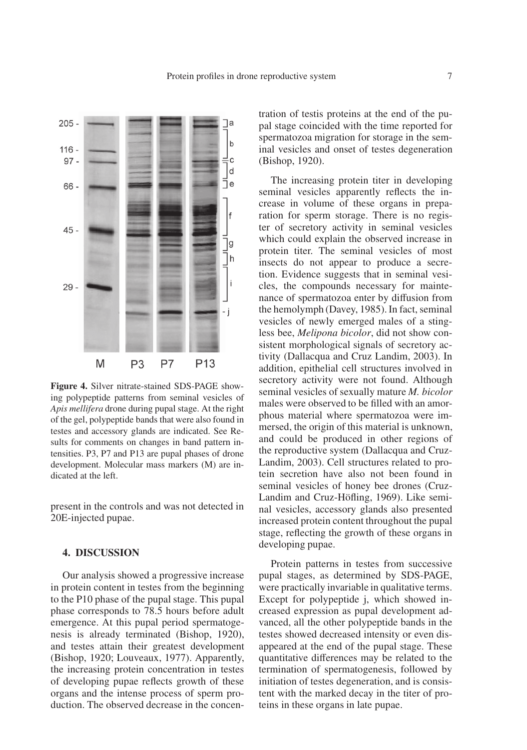

**Figure 4.** Silver nitrate-stained SDS-PAGE showing polypeptide patterns from seminal vesicles of *Apis mellifera* drone during pupal stage. At the right of the gel, polypeptide bands that were also found in testes and accessory glands are indicated. See Results for comments on changes in band pattern intensities. P3, P7 and P13 are pupal phases of drone development. Molecular mass markers (M) are indicated at the left.

present in the controls and was not detected in 20E-injected pupae.

# **4. DISCUSSION**

Our analysis showed a progressive increase in protein content in testes from the beginning to the P10 phase of the pupal stage. This pupal phase corresponds to 78.5 hours before adult emergence. At this pupal period spermatogenesis is already terminated (Bishop, 1920), and testes attain their greatest development (Bishop, 1920; Louveaux, 1977). Apparently, the increasing protein concentration in testes of developing pupae reflects growth of these organs and the intense process of sperm production. The observed decrease in the concentration of testis proteins at the end of the pupal stage coincided with the time reported for spermatozoa migration for storage in the seminal vesicles and onset of testes degeneration (Bishop, 1920).

The increasing protein titer in developing seminal vesicles apparently reflects the increase in volume of these organs in preparation for sperm storage. There is no register of secretory activity in seminal vesicles which could explain the observed increase in protein titer. The seminal vesicles of most insects do not appear to produce a secretion. Evidence suggests that in seminal vesicles, the compounds necessary for maintenance of spermatozoa enter by diffusion from the hemolymph (Davey, 1985). In fact, seminal vesicles of newly emerged males of a stingless bee, *Melipona bicolor*, did not show consistent morphological signals of secretory activity (Dallacqua and Cruz Landim, 2003). In addition, epithelial cell structures involved in secretory activity were not found. Although seminal vesicles of sexually mature *M. bicolor* males were observed to be filled with an amorphous material where spermatozoa were immersed, the origin of this material is unknown, and could be produced in other regions of the reproductive system (Dallacqua and Cruz-Landim, 2003). Cell structures related to protein secretion have also not been found in seminal vesicles of honey bee drones (Cruz-Landim and Cruz-Höfling, 1969). Like seminal vesicles, accessory glands also presented increased protein content throughout the pupal stage, reflecting the growth of these organs in developing pupae.

Protein patterns in testes from successive pupal stages, as determined by SDS-PAGE, were practically invariable in qualitative terms. Except for polypeptide j, which showed increased expression as pupal development advanced, all the other polypeptide bands in the testes showed decreased intensity or even disappeared at the end of the pupal stage. These quantitative differences may be related to the termination of spermatogenesis, followed by initiation of testes degeneration, and is consistent with the marked decay in the titer of proteins in these organs in late pupae.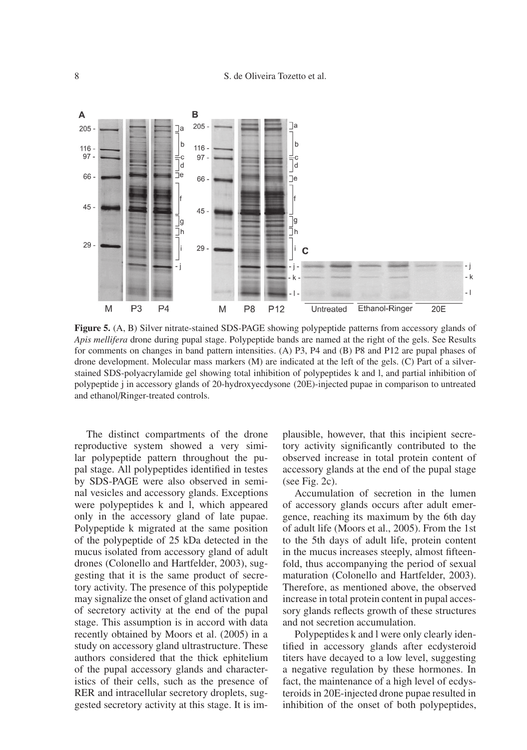

**Figure 5.** (A, B) Silver nitrate-stained SDS-PAGE showing polypeptide patterns from accessory glands of *Apis mellifera* drone during pupal stage. Polypeptide bands are named at the right of the gels. See Results for comments on changes in band pattern intensities. (A) P3, P4 and (B) P8 and P12 are pupal phases of drone development. Molecular mass markers (M) are indicated at the left of the gels. (C) Part of a silverstained SDS-polyacrylamide gel showing total inhibition of polypeptides k and l, and partial inhibition of polypeptide j in accessory glands of 20-hydroxyecdysone (20E)-injected pupae in comparison to untreated and ethanol/Ringer-treated controls.

The distinct compartments of the drone reproductive system showed a very similar polypeptide pattern throughout the pupal stage. All polypeptides identified in testes by SDS-PAGE were also observed in seminal vesicles and accessory glands. Exceptions were polypeptides k and l, which appeared only in the accessory gland of late pupae. Polypeptide k migrated at the same position of the polypeptide of 25 kDa detected in the mucus isolated from accessory gland of adult drones (Colonello and Hartfelder, 2003), suggesting that it is the same product of secretory activity. The presence of this polypeptide may signalize the onset of gland activation and of secretory activity at the end of the pupal stage. This assumption is in accord with data recently obtained by Moors et al. (2005) in a study on accessory gland ultrastructure. These authors considered that the thick ephitelium of the pupal accessory glands and characteristics of their cells, such as the presence of RER and intracellular secretory droplets, suggested secretory activity at this stage. It is implausible, however, that this incipient secretory activity significantly contributed to the observed increase in total protein content of accessory glands at the end of the pupal stage (see Fig. 2c).

Accumulation of secretion in the lumen of accessory glands occurs after adult emergence, reaching its maximum by the 6th day of adult life (Moors et al., 2005). From the 1st to the 5th days of adult life, protein content in the mucus increases steeply, almost fifteenfold, thus accompanying the period of sexual maturation (Colonello and Hartfelder, 2003). Therefore, as mentioned above, the observed increase in total protein content in pupal accessory glands reflects growth of these structures and not secretion accumulation.

Polypeptides k and l were only clearly identified in accessory glands after ecdysteroid titers have decayed to a low level, suggesting a negative regulation by these hormones. In fact, the maintenance of a high level of ecdysteroids in 20E-injected drone pupae resulted in inhibition of the onset of both polypeptides,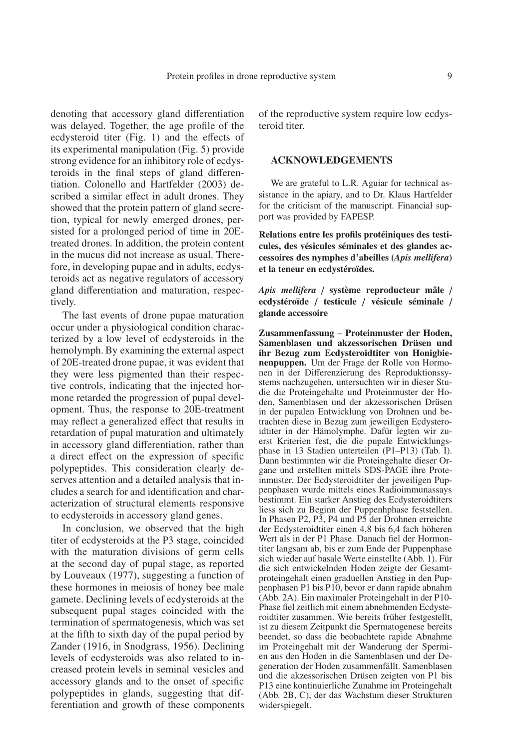denoting that accessory gland differentiation was delayed. Together, the age profile of the ecdysteroid titer (Fig. 1) and the effects of its experimental manipulation (Fig. 5) provide strong evidence for an inhibitory role of ecdysteroids in the final steps of gland differentiation. Colonello and Hartfelder (2003) described a similar effect in adult drones. They showed that the protein pattern of gland secretion, typical for newly emerged drones, persisted for a prolonged period of time in 20Etreated drones. In addition, the protein content in the mucus did not increase as usual. Therefore, in developing pupae and in adults, ecdysteroids act as negative regulators of accessory gland differentiation and maturation, respectively.

The last events of drone pupae maturation occur under a physiological condition characterized by a low level of ecdysteroids in the hemolymph. By examining the external aspect of 20E-treated drone pupae, it was evident that they were less pigmented than their respective controls, indicating that the injected hormone retarded the progression of pupal development. Thus, the response to 20E-treatment may reflect a generalized effect that results in retardation of pupal maturation and ultimately in accessory gland differentiation, rather than a direct effect on the expression of specific polypeptides. This consideration clearly deserves attention and a detailed analysis that includes a search for and identification and characterization of structural elements responsive to ecdysteroids in accessory gland genes.

In conclusion, we observed that the high titer of ecdysteroids at the P3 stage, coincided with the maturation divisions of germ cells at the second day of pupal stage, as reported by Louveaux (1977), suggesting a function of these hormones in meiosis of honey bee male gamete. Declining levels of ecdysteroids at the subsequent pupal stages coincided with the termination of spermatogenesis, which was set at the fifth to sixth day of the pupal period by Zander (1916, in Snodgrass, 1956). Declining levels of ecdysteroids was also related to increased protein levels in seminal vesicles and accessory glands and to the onset of specific polypeptides in glands, suggesting that differentiation and growth of these components of the reproductive system require low ecdysteroid titer.

## **ACKNOWLEDGEMENTS**

We are grateful to L.R. Aguiar for technical assistance in the apiary, and to Dr. Klaus Hartfelder for the criticism of the manuscript. Financial support was provided by FAPESP.

**Relations entre les profils protéiniques des testicules, des vésicules séminales et des glandes accessoires des nymphes d'abeilles (***Apis mellifera***) et la teneur en ecdystéroïdes.**

*Apis mellifera* / **système reproducteur mâle** / **ecdystéroïde** / **testicule** / **vésicule séminale** / **glande accessoire**

**Zusammenfassung** – **Proteinmuster der Hoden, Samenblasen und akzessorischen Drüsen und ihr Bezug zum Ecdysteroidtiter von Honigbienenpuppen.** Um der Frage der Rolle von Hormonen in der Differenzierung des Reproduktionssystems nachzugehen, untersuchten wir in dieser Studie die Proteingehalte und Proteinmuster der Hoden, Samenblasen und der akzessorischen Drüsen in der pupalen Entwicklung von Drohnen und betrachten diese in Bezug zum jeweiligen Ecdysteroidtiter in der Hämolymphe. Dafür legten wir zuerst Kriterien fest, die die pupale Entwicklungsphase in 13 Stadien unterteilen (P1–P13) (Tab. I). Dann bestimmten wir die Proteingehalte dieser Organe und erstellten mittels SDS-PAGE ihre Proteinmuster. Der Ecdysteroidtiter der jeweiligen Puppenphasen wurde mittels eines Radioimmunassays bestimmt. Ein starker Anstieg des Ecdysteroidtiters liess sich zu Beginn der Puppenhphase feststellen. In Phasen P2, P3, P4 und P5 der Drohnen erreichte der Ecdysteroidtiter einen 4,8 bis 6,4 fach höheren Wert als in der P1 Phase. Danach fiel der Hormontiter langsam ab, bis er zum Ende der Puppenphase sich wieder auf basale Werte einstellte (Abb. 1). Für die sich entwickelnden Hoden zeigte der Gesamtproteingehalt einen graduellen Anstieg in den Puppenphasen P1 bis P10, bevor er dann rapide abnahm (Abb. 2A). Ein maximaler Proteingehalt in der P10- Phase fiel zeitlich mit einem abnehmenden Ecdysteroidtiter zusammen. Wie bereits früher festgestellt, ist zu diesem Zeitpunkt die Spermatogenese bereits beendet, so dass die beobachtete rapide Abnahme im Proteingehalt mit der Wanderung der Spermien aus den Hoden in die Samenblasen und der Degeneration der Hoden zusammenfällt. Samenblasen und die akzessorischen Drüsen zeigten von P1 bis P13 eine kontinuierliche Zunahme im Proteingehalt (Abb. 2B, C), der das Wachstum dieser Strukturen widerspiegelt.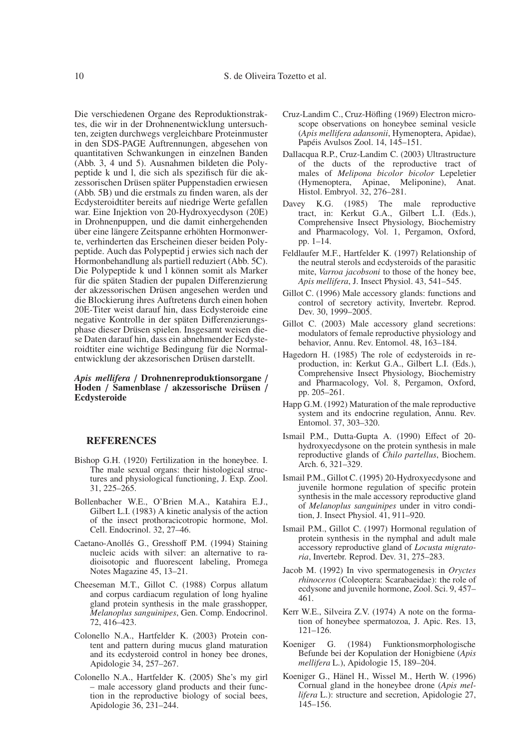Die verschiedenen Organe des Reproduktionstraktes, die wir in der Drohnenentwicklung untersuchten, zeigten durchwegs vergleichbare Proteinmuster in den SDS-PAGE Auftrennungen, abgesehen von quantitativen Schwankungen in einzelnen Banden (Abb. 3, 4 und 5). Ausnahmen bildeten die Polypeptide k und l, die sich als spezifisch für die akzessorischen Drüsen später Puppenstadien erwiesen (Abb. 5B) und die erstmals zu finden waren, als der Ecdysteroidtiter bereits auf niedrige Werte gefallen war. Eine Injektion von 20-Hydroxyecdyson (20E) in Drohnenpuppen, und die damit einhergehenden über eine längere Zeitspanne erhöhten Hormonwerte, verhinderten das Erscheinen dieser beiden Polypeptide. Auch das Polypeptid j erwies sich nach der Hormonbehandlung als partiell reduziert (Abb. 5C). Die Polypeptide k und l können somit als Marker für die späten Stadien der pupalen Differenzierung der akzessorischen Drüsen angesehen werden und die Blockierung ihres Auftretens durch einen hohen 20E-Titer weist darauf hin, dass Ecdysteroide eine negative Kontrolle in der späten Differenzierungsphase dieser Drüsen spielen. Insgesamt weisen diese Daten darauf hin, dass ein abnehmender Ecdysteroidtiter eine wichtige Bedingung für die Normalentwicklung der akzesorischen Drüsen darstellt.

#### *Apis mellifera* / **Drohnenreproduktionsorgane** / **Hoden** / **Samenblase** / **akzessorische Drüsen** / **Ecdysteroide**

## **REFERENCES**

- Bishop G.H. (1920) Fertilization in the honeybee. I. The male sexual organs: their histological structures and physiological functioning, J. Exp. Zool. 31, 225–265.
- Bollenbacher W.E., O'Brien M.A., Katahira E.J., Gilbert L.I. (1983) A kinetic analysis of the action of the insect prothoracicotropic hormone, Mol. Cell. Endocrinol. 32, 27–46.
- Caetano-Anollés G., Gresshoff P.M. (1994) Staining nucleic acids with silver: an alternative to radioisotopic and fluorescent labeling, Promega Notes Magazine 45, 13–21.
- Cheeseman M.T., Gillot C. (1988) Corpus allatum and corpus cardiacum regulation of long hyaline gland protein synthesis in the male grasshopper, *Melanoplus sanguinipes*, Gen. Comp. Endocrinol. 72, 416–423.
- Colonello N.A., Hartfelder K. (2003) Protein content and pattern during mucus gland maturation and its ecdysteroid control in honey bee drones, Apidologie 34, 257–267.
- Colonello N.A., Hartfelder K. (2005) She's my girl – male accessory gland products and their function in the reproductive biology of social bees, Apidologie 36, 231–244.
- Cruz-Landim C., Cruz-Höfling (1969) Electron microscope observations on honeybee seminal vesicle (*Apis mellifera adansonii*, Hymenoptera, Apidae), Papéis Avulsos Zool. 14, 145–151.
- Dallacqua R.P., Cruz-Landim C. (2003) Ultrastructure of the ducts of the reproductive tract of males of *Melipona bicolor bicolor* Lepeletier (Hymenoptera, Apinae, Meliponine), Anat. Histol. Embryol. 32, 276–281.
- Davey K.G. (1985) The male reproductive tract, in: Kerkut G.A., Gilbert L.I. (Eds.), Comprehensive Insect Physiology, Biochemistry and Pharmacology, Vol. 1, Pergamon, Oxford, pp. 1–14.
- Feldlaufer M.F., Hartfelder K. (1997) Relationship of the neutral sterols and ecdysteroids of the parasitic mite, *Varroa jacobsoni* to those of the honey bee, *Apis mellifera*, J. Insect Physiol. 43, 541–545.
- Gillot C. (1996) Male accessory glands: functions and control of secretory activity, Invertebr. Reprod. Dev. 30, 1999–2005.
- Gillot C. (2003) Male accessory gland secretions: modulators of female reproductive physiology and behavior, Annu. Rev. Entomol. 48, 163–184.
- Hagedorn H. (1985) The role of ecdysteroids in reproduction, in: Kerkut G.A., Gilbert L.I. (Eds.), Comprehensive Insect Physiology, Biochemistry and Pharmacology, Vol. 8, Pergamon, Oxford, pp. 205–261.
- Happ G.M. (1992) Maturation of the male reproductive system and its endocrine regulation, Annu. Rev. Entomol. 37, 303–320.
- Ismail P.M., Dutta-Gupta A. (1990) Effect of 20 hydroxyecdysone on the protein synthesis in male reproductive glands of *Chilo partellus*, Biochem. Arch. 6, 321–329.
- Ismail P.M., Gillot C. (1995) 20-Hydroxyecdysone and juvenile hormone regulation of specific protein synthesis in the male accessory reproductive gland of *Melanoplus sanguinipes* under in vitro condition, J. Insect Physiol. 41, 911–920.
- Ismail P.M., Gillot C. (1997) Hormonal regulation of protein synthesis in the nymphal and adult male accessory reproductive gland of *Locusta migratoria*, Invertebr. Reprod. Dev. 31, 275–283.
- Jacob M. (1992) In vivo spermatogenesis in *Oryctes rhinoceros* (Coleoptera: Scarabaeidae): the role of ecdysone and juvenile hormone, Zool. Sci. 9, 457– 461.
- Kerr W.E., Silveira Z.V. (1974) A note on the formation of honeybee spermatozoa, J. Apic. Res. 13, 121–126.
- Koeniger G. (1984) Funktionsmorphologische Befunde bei der Kopulation der Honigbiene (*Apis mellifera* L.), Apidologie 15, 189–204.
- Koeniger G., Hänel H., Wissel M., Herth W. (1996) Cornual gland in the honeybee drone (*Apis mellifera* L.): structure and secretion, Apidologie 27, 145–156.